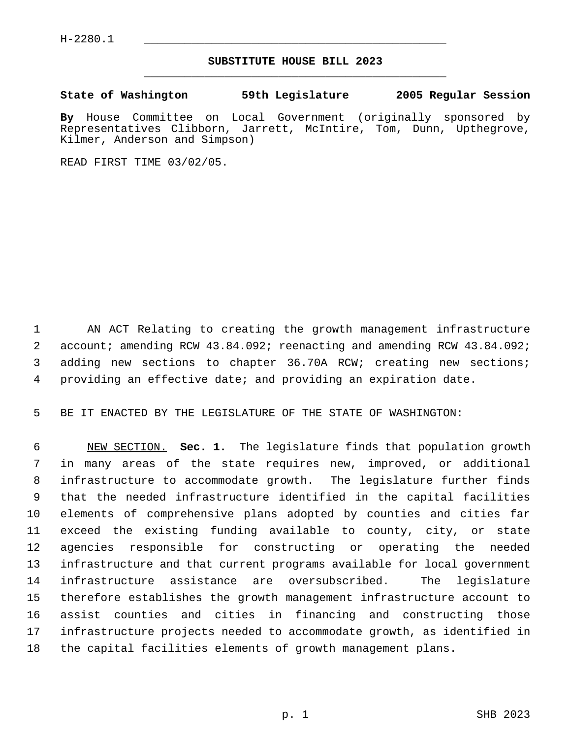## **SUBSTITUTE HOUSE BILL 2023** \_\_\_\_\_\_\_\_\_\_\_\_\_\_\_\_\_\_\_\_\_\_\_\_\_\_\_\_\_\_\_\_\_\_\_\_\_\_\_\_\_\_\_\_\_

**State of Washington 59th Legislature 2005 Regular Session**

**By** House Committee on Local Government (originally sponsored by Representatives Clibborn, Jarrett, McIntire, Tom, Dunn, Upthegrove, Kilmer, Anderson and Simpson)

READ FIRST TIME 03/02/05.

 AN ACT Relating to creating the growth management infrastructure account; amending RCW 43.84.092; reenacting and amending RCW 43.84.092; adding new sections to chapter 36.70A RCW; creating new sections; providing an effective date; and providing an expiration date.

BE IT ENACTED BY THE LEGISLATURE OF THE STATE OF WASHINGTON:

 NEW SECTION. **Sec. 1.** The legislature finds that population growth in many areas of the state requires new, improved, or additional infrastructure to accommodate growth. The legislature further finds that the needed infrastructure identified in the capital facilities elements of comprehensive plans adopted by counties and cities far exceed the existing funding available to county, city, or state agencies responsible for constructing or operating the needed infrastructure and that current programs available for local government infrastructure assistance are oversubscribed. The legislature therefore establishes the growth management infrastructure account to assist counties and cities in financing and constructing those infrastructure projects needed to accommodate growth, as identified in the capital facilities elements of growth management plans.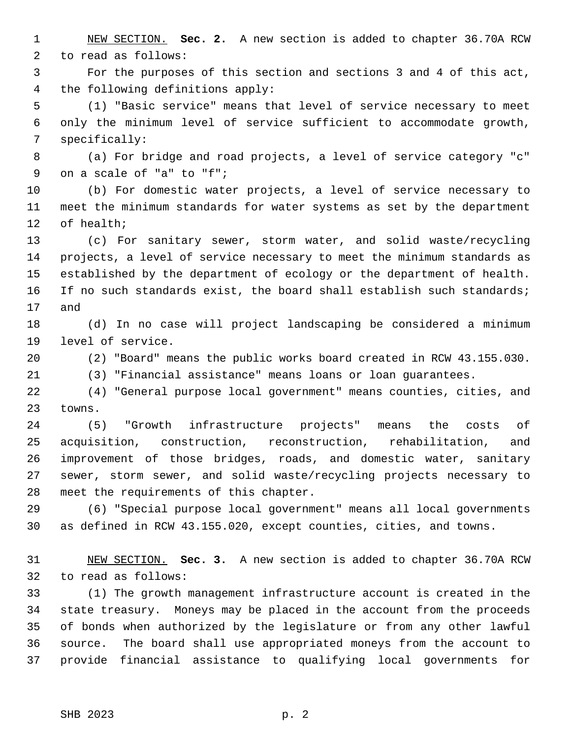NEW SECTION. **Sec. 2.** A new section is added to chapter 36.70A RCW to read as follows:

 For the purposes of this section and sections 3 and 4 of this act, the following definitions apply:

 (1) "Basic service" means that level of service necessary to meet only the minimum level of service sufficient to accommodate growth, specifically:

 (a) For bridge and road projects, a level of service category "c" on a scale of "a" to "f";

 (b) For domestic water projects, a level of service necessary to meet the minimum standards for water systems as set by the department of health;

 (c) For sanitary sewer, storm water, and solid waste/recycling projects, a level of service necessary to meet the minimum standards as established by the department of ecology or the department of health. If no such standards exist, the board shall establish such standards; and

 (d) In no case will project landscaping be considered a minimum level of service.

(2) "Board" means the public works board created in RCW 43.155.030.

(3) "Financial assistance" means loans or loan guarantees.

 (4) "General purpose local government" means counties, cities, and towns.

 (5) "Growth infrastructure projects" means the costs of acquisition, construction, reconstruction, rehabilitation, and improvement of those bridges, roads, and domestic water, sanitary sewer, storm sewer, and solid waste/recycling projects necessary to meet the requirements of this chapter.

 (6) "Special purpose local government" means all local governments as defined in RCW 43.155.020, except counties, cities, and towns.

 NEW SECTION. **Sec. 3.** A new section is added to chapter 36.70A RCW to read as follows:

 (1) The growth management infrastructure account is created in the state treasury. Moneys may be placed in the account from the proceeds of bonds when authorized by the legislature or from any other lawful source. The board shall use appropriated moneys from the account to provide financial assistance to qualifying local governments for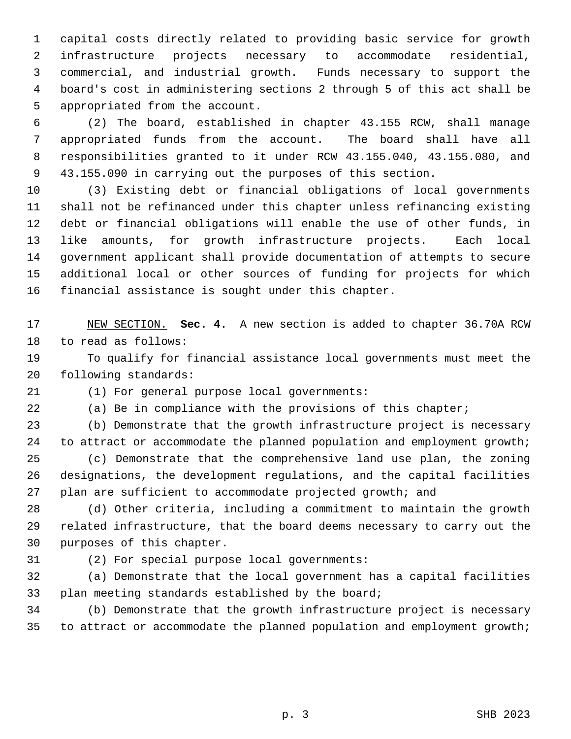capital costs directly related to providing basic service for growth infrastructure projects necessary to accommodate residential, commercial, and industrial growth. Funds necessary to support the board's cost in administering sections 2 through 5 of this act shall be appropriated from the account.

 (2) The board, established in chapter 43.155 RCW, shall manage appropriated funds from the account. The board shall have all responsibilities granted to it under RCW 43.155.040, 43.155.080, and 43.155.090 in carrying out the purposes of this section.

 (3) Existing debt or financial obligations of local governments shall not be refinanced under this chapter unless refinancing existing debt or financial obligations will enable the use of other funds, in like amounts, for growth infrastructure projects. Each local government applicant shall provide documentation of attempts to secure additional local or other sources of funding for projects for which financial assistance is sought under this chapter.

 NEW SECTION. **Sec. 4.** A new section is added to chapter 36.70A RCW to read as follows:

 To qualify for financial assistance local governments must meet the following standards:

(1) For general purpose local governments:

(a) Be in compliance with the provisions of this chapter;

 (b) Demonstrate that the growth infrastructure project is necessary to attract or accommodate the planned population and employment growth; (c) Demonstrate that the comprehensive land use plan, the zoning designations, the development regulations, and the capital facilities plan are sufficient to accommodate projected growth; and

 (d) Other criteria, including a commitment to maintain the growth related infrastructure, that the board deems necessary to carry out the purposes of this chapter.

(2) For special purpose local governments:

 (a) Demonstrate that the local government has a capital facilities plan meeting standards established by the board;

 (b) Demonstrate that the growth infrastructure project is necessary to attract or accommodate the planned population and employment growth;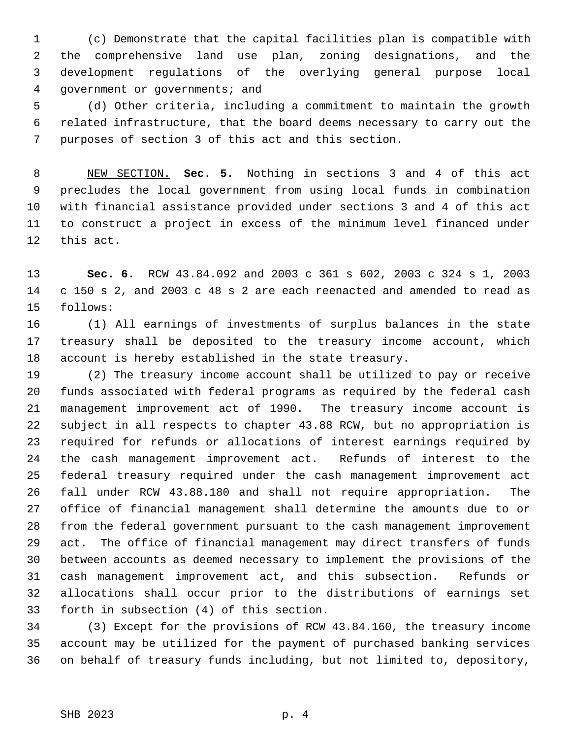(c) Demonstrate that the capital facilities plan is compatible with the comprehensive land use plan, zoning designations, and the development regulations of the overlying general purpose local government or governments; and

 (d) Other criteria, including a commitment to maintain the growth related infrastructure, that the board deems necessary to carry out the purposes of section 3 of this act and this section.

 NEW SECTION. **Sec. 5.** Nothing in sections 3 and 4 of this act precludes the local government from using local funds in combination with financial assistance provided under sections 3 and 4 of this act to construct a project in excess of the minimum level financed under this act.

 **Sec. 6.** RCW 43.84.092 and 2003 c 361 s 602, 2003 c 324 s 1, 2003 c 150 s 2, and 2003 c 48 s 2 are each reenacted and amended to read as follows:

 (1) All earnings of investments of surplus balances in the state treasury shall be deposited to the treasury income account, which account is hereby established in the state treasury.

 (2) The treasury income account shall be utilized to pay or receive funds associated with federal programs as required by the federal cash management improvement act of 1990. The treasury income account is subject in all respects to chapter 43.88 RCW, but no appropriation is required for refunds or allocations of interest earnings required by the cash management improvement act. Refunds of interest to the federal treasury required under the cash management improvement act fall under RCW 43.88.180 and shall not require appropriation. The office of financial management shall determine the amounts due to or from the federal government pursuant to the cash management improvement act. The office of financial management may direct transfers of funds between accounts as deemed necessary to implement the provisions of the cash management improvement act, and this subsection. Refunds or allocations shall occur prior to the distributions of earnings set forth in subsection (4) of this section.

 (3) Except for the provisions of RCW 43.84.160, the treasury income account may be utilized for the payment of purchased banking services on behalf of treasury funds including, but not limited to, depository,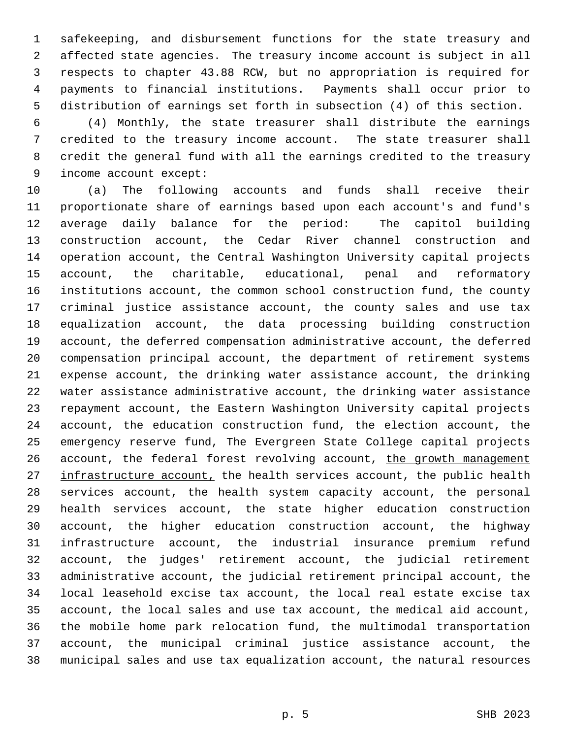safekeeping, and disbursement functions for the state treasury and affected state agencies. The treasury income account is subject in all respects to chapter 43.88 RCW, but no appropriation is required for payments to financial institutions. Payments shall occur prior to distribution of earnings set forth in subsection (4) of this section.

 (4) Monthly, the state treasurer shall distribute the earnings credited to the treasury income account. The state treasurer shall credit the general fund with all the earnings credited to the treasury income account except:

 (a) The following accounts and funds shall receive their proportionate share of earnings based upon each account's and fund's average daily balance for the period: The capitol building construction account, the Cedar River channel construction and operation account, the Central Washington University capital projects account, the charitable, educational, penal and reformatory institutions account, the common school construction fund, the county criminal justice assistance account, the county sales and use tax equalization account, the data processing building construction account, the deferred compensation administrative account, the deferred compensation principal account, the department of retirement systems expense account, the drinking water assistance account, the drinking water assistance administrative account, the drinking water assistance repayment account, the Eastern Washington University capital projects account, the education construction fund, the election account, the emergency reserve fund, The Evergreen State College capital projects 26 account, the federal forest revolving account, the growth management 27 infrastructure account, the health services account, the public health services account, the health system capacity account, the personal health services account, the state higher education construction account, the higher education construction account, the highway infrastructure account, the industrial insurance premium refund account, the judges' retirement account, the judicial retirement administrative account, the judicial retirement principal account, the local leasehold excise tax account, the local real estate excise tax account, the local sales and use tax account, the medical aid account, the mobile home park relocation fund, the multimodal transportation account, the municipal criminal justice assistance account, the municipal sales and use tax equalization account, the natural resources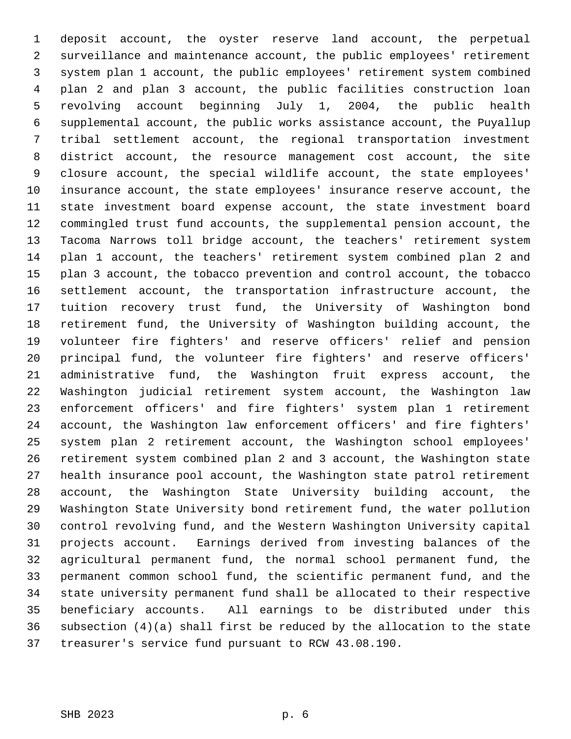deposit account, the oyster reserve land account, the perpetual surveillance and maintenance account, the public employees' retirement system plan 1 account, the public employees' retirement system combined plan 2 and plan 3 account, the public facilities construction loan revolving account beginning July 1, 2004, the public health supplemental account, the public works assistance account, the Puyallup tribal settlement account, the regional transportation investment district account, the resource management cost account, the site closure account, the special wildlife account, the state employees' insurance account, the state employees' insurance reserve account, the state investment board expense account, the state investment board commingled trust fund accounts, the supplemental pension account, the Tacoma Narrows toll bridge account, the teachers' retirement system plan 1 account, the teachers' retirement system combined plan 2 and plan 3 account, the tobacco prevention and control account, the tobacco settlement account, the transportation infrastructure account, the tuition recovery trust fund, the University of Washington bond retirement fund, the University of Washington building account, the volunteer fire fighters' and reserve officers' relief and pension principal fund, the volunteer fire fighters' and reserve officers' administrative fund, the Washington fruit express account, the Washington judicial retirement system account, the Washington law enforcement officers' and fire fighters' system plan 1 retirement account, the Washington law enforcement officers' and fire fighters' system plan 2 retirement account, the Washington school employees' retirement system combined plan 2 and 3 account, the Washington state health insurance pool account, the Washington state patrol retirement account, the Washington State University building account, the Washington State University bond retirement fund, the water pollution control revolving fund, and the Western Washington University capital projects account. Earnings derived from investing balances of the agricultural permanent fund, the normal school permanent fund, the permanent common school fund, the scientific permanent fund, and the state university permanent fund shall be allocated to their respective beneficiary accounts. All earnings to be distributed under this subsection (4)(a) shall first be reduced by the allocation to the state treasurer's service fund pursuant to RCW 43.08.190.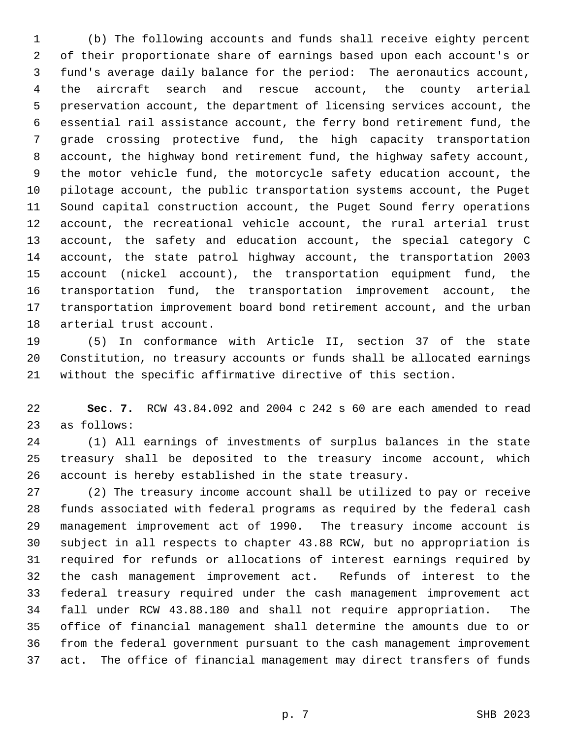(b) The following accounts and funds shall receive eighty percent of their proportionate share of earnings based upon each account's or fund's average daily balance for the period: The aeronautics account, the aircraft search and rescue account, the county arterial preservation account, the department of licensing services account, the essential rail assistance account, the ferry bond retirement fund, the grade crossing protective fund, the high capacity transportation account, the highway bond retirement fund, the highway safety account, the motor vehicle fund, the motorcycle safety education account, the pilotage account, the public transportation systems account, the Puget Sound capital construction account, the Puget Sound ferry operations account, the recreational vehicle account, the rural arterial trust account, the safety and education account, the special category C account, the state patrol highway account, the transportation 2003 account (nickel account), the transportation equipment fund, the transportation fund, the transportation improvement account, the transportation improvement board bond retirement account, and the urban arterial trust account.

 (5) In conformance with Article II, section 37 of the state Constitution, no treasury accounts or funds shall be allocated earnings without the specific affirmative directive of this section.

 **Sec. 7.** RCW 43.84.092 and 2004 c 242 s 60 are each amended to read as follows:

 (1) All earnings of investments of surplus balances in the state treasury shall be deposited to the treasury income account, which account is hereby established in the state treasury.

 (2) The treasury income account shall be utilized to pay or receive funds associated with federal programs as required by the federal cash management improvement act of 1990. The treasury income account is subject in all respects to chapter 43.88 RCW, but no appropriation is required for refunds or allocations of interest earnings required by the cash management improvement act. Refunds of interest to the federal treasury required under the cash management improvement act fall under RCW 43.88.180 and shall not require appropriation. The office of financial management shall determine the amounts due to or from the federal government pursuant to the cash management improvement act. The office of financial management may direct transfers of funds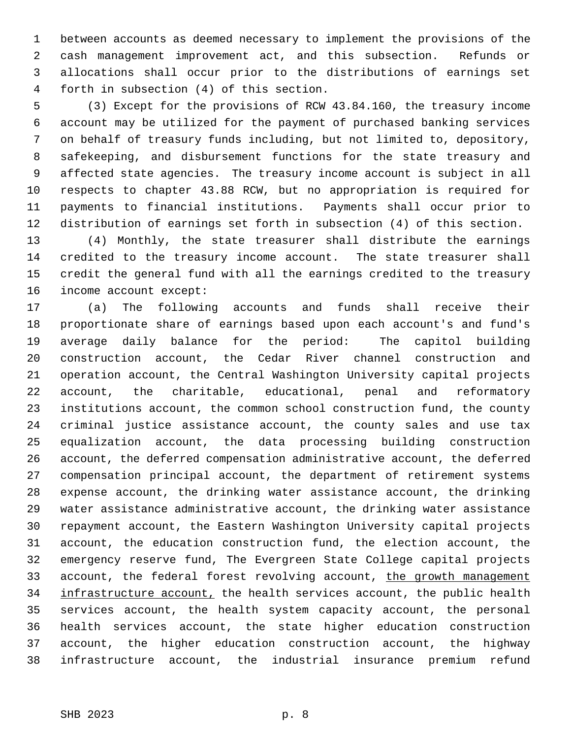between accounts as deemed necessary to implement the provisions of the cash management improvement act, and this subsection. Refunds or allocations shall occur prior to the distributions of earnings set forth in subsection (4) of this section.

 (3) Except for the provisions of RCW 43.84.160, the treasury income account may be utilized for the payment of purchased banking services on behalf of treasury funds including, but not limited to, depository, safekeeping, and disbursement functions for the state treasury and affected state agencies. The treasury income account is subject in all respects to chapter 43.88 RCW, but no appropriation is required for payments to financial institutions. Payments shall occur prior to distribution of earnings set forth in subsection (4) of this section.

 (4) Monthly, the state treasurer shall distribute the earnings credited to the treasury income account. The state treasurer shall credit the general fund with all the earnings credited to the treasury income account except:

 (a) The following accounts and funds shall receive their proportionate share of earnings based upon each account's and fund's average daily balance for the period: The capitol building construction account, the Cedar River channel construction and operation account, the Central Washington University capital projects account, the charitable, educational, penal and reformatory institutions account, the common school construction fund, the county criminal justice assistance account, the county sales and use tax equalization account, the data processing building construction account, the deferred compensation administrative account, the deferred compensation principal account, the department of retirement systems expense account, the drinking water assistance account, the drinking water assistance administrative account, the drinking water assistance repayment account, the Eastern Washington University capital projects account, the education construction fund, the election account, the emergency reserve fund, The Evergreen State College capital projects 33 account, the federal forest revolving account, the growth management 34 infrastructure account, the health services account, the public health services account, the health system capacity account, the personal health services account, the state higher education construction account, the higher education construction account, the highway infrastructure account, the industrial insurance premium refund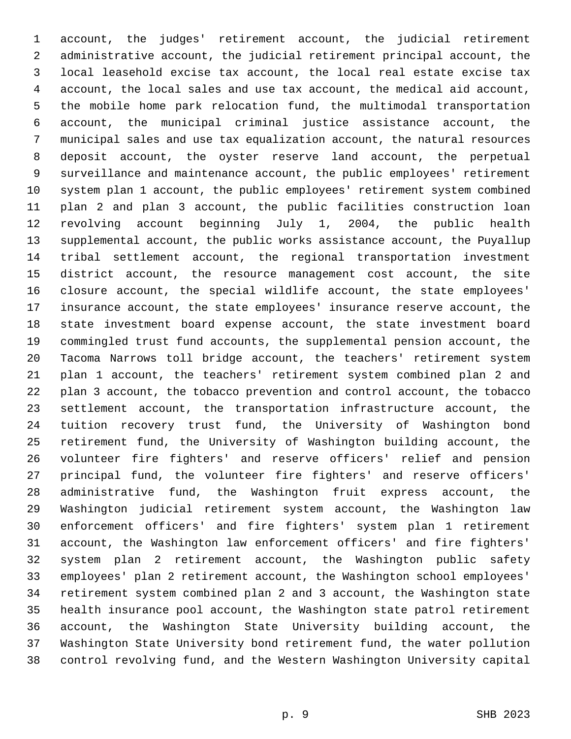account, the judges' retirement account, the judicial retirement administrative account, the judicial retirement principal account, the local leasehold excise tax account, the local real estate excise tax account, the local sales and use tax account, the medical aid account, the mobile home park relocation fund, the multimodal transportation account, the municipal criminal justice assistance account, the municipal sales and use tax equalization account, the natural resources deposit account, the oyster reserve land account, the perpetual surveillance and maintenance account, the public employees' retirement system plan 1 account, the public employees' retirement system combined plan 2 and plan 3 account, the public facilities construction loan revolving account beginning July 1, 2004, the public health supplemental account, the public works assistance account, the Puyallup tribal settlement account, the regional transportation investment district account, the resource management cost account, the site closure account, the special wildlife account, the state employees' insurance account, the state employees' insurance reserve account, the state investment board expense account, the state investment board commingled trust fund accounts, the supplemental pension account, the Tacoma Narrows toll bridge account, the teachers' retirement system plan 1 account, the teachers' retirement system combined plan 2 and plan 3 account, the tobacco prevention and control account, the tobacco settlement account, the transportation infrastructure account, the tuition recovery trust fund, the University of Washington bond retirement fund, the University of Washington building account, the volunteer fire fighters' and reserve officers' relief and pension principal fund, the volunteer fire fighters' and reserve officers' administrative fund, the Washington fruit express account, the Washington judicial retirement system account, the Washington law enforcement officers' and fire fighters' system plan 1 retirement account, the Washington law enforcement officers' and fire fighters' system plan 2 retirement account, the Washington public safety employees' plan 2 retirement account, the Washington school employees' retirement system combined plan 2 and 3 account, the Washington state health insurance pool account, the Washington state patrol retirement account, the Washington State University building account, the Washington State University bond retirement fund, the water pollution control revolving fund, and the Western Washington University capital